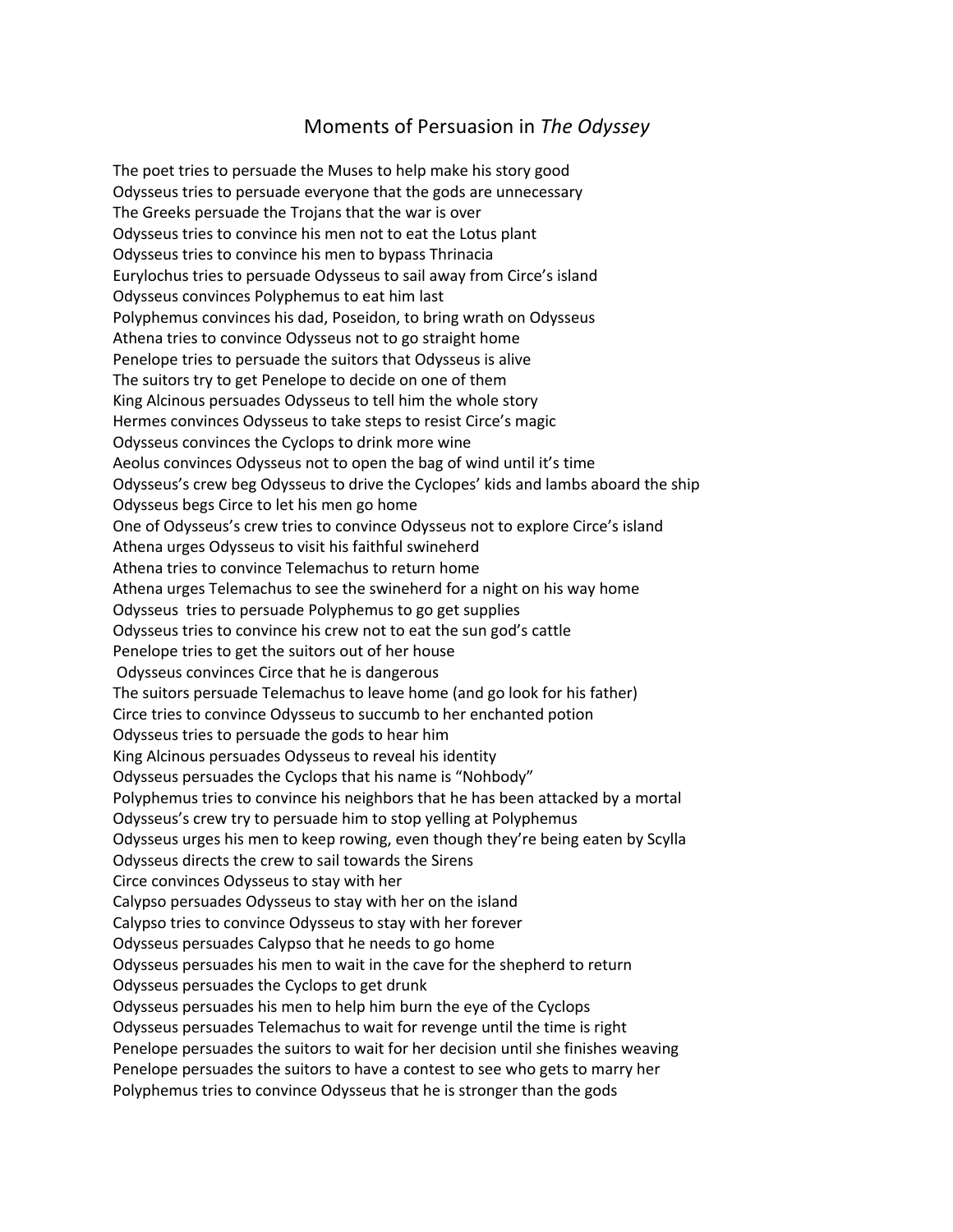## Moments of Persuasion in *The Odyssey*

The poet tries to persuade the Muses to help make his story good Odysseus tries to persuade everyone that the gods are unnecessary The Greeks persuade the Trojans that the war is over Odysseus tries to convince his men not to eat the Lotus plant Odysseus tries to convince his men to bypass Thrinacia Eurylochus tries to persuade Odysseus to sail away from Circe's island Odysseus convinces Polyphemus to eat him last Polyphemus convinces his dad, Poseidon, to bring wrath on Odysseus Athena tries to convince Odysseus not to go straight home Penelope tries to persuade the suitors that Odysseus is alive The suitors try to get Penelope to decide on one of them King Alcinous persuades Odysseus to tell him the whole story Hermes convinces Odysseus to take steps to resist Circe's magic Odysseus convinces the Cyclops to drink more wine Aeolus convinces Odysseus not to open the bag of wind until it's time Odysseus's crew beg Odysseus to drive the Cyclopes' kids and lambs aboard the ship Odysseus begs Circe to let his men go home One of Odysseus's crew tries to convince Odysseus not to explore Circe's island Athena urges Odysseus to visit his faithful swineherd Athena tries to convince Telemachus to return home Athena urges Telemachus to see the swineherd for a night on his way home Odysseus tries to persuade Polyphemus to go get supplies Odysseus tries to convince his crew not to eat the sun god's cattle Penelope tries to get the suitors out of her house Odysseus convinces Circe that he is dangerous The suitors persuade Telemachus to leave home (and go look for his father) Circe tries to convince Odysseus to succumb to her enchanted potion Odysseus tries to persuade the gods to hear him King Alcinous persuades Odysseus to reveal his identity Odysseus persuades the Cyclops that his name is "Nohbody" Polyphemus tries to convince his neighbors that he has been attacked by a mortal Odysseus's crew try to persuade him to stop yelling at Polyphemus Odysseus urges his men to keep rowing, even though they're being eaten by Scylla Odysseus directs the crew to sail towards the Sirens Circe convinces Odysseus to stay with her Calypso persuades Odysseus to stay with her on the island Calypso tries to convince Odysseus to stay with her forever Odysseus persuades Calypso that he needs to go home Odysseus persuades his men to wait in the cave for the shepherd to return Odysseus persuades the Cyclops to get drunk Odysseus persuades his men to help him burn the eye of the Cyclops Odysseus persuades Telemachus to wait for revenge until the time is right Penelope persuades the suitors to wait for her decision until she finishes weaving Penelope persuades the suitors to have a contest to see who gets to marry her Polyphemus tries to convince Odysseus that he is stronger than the gods